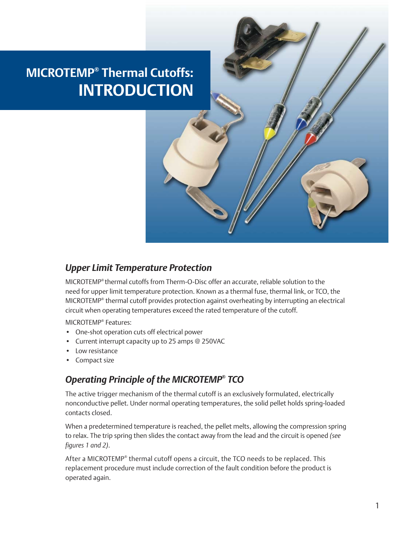# **MICROTEMP® Thermal Cutoffs: INTRODUCTION**



MICROTEMP® thermal cutoffs from Therm-O-Disc offer an accurate, reliable solution to the need for upper limit temperature protection. Known as a thermal fuse, thermal link, or TCO, the MICROTEMP® thermal cutoff provides protection against overheating by interrupting an electrical circuit when operating temperatures exceed the rated temperature of the cutoff.

MICROTEMP® Features:

- One-shot operation cuts off electrical power
- Current interrupt capacity up to 25 amps @ 250VAC
- Low resistance
- Compact size

#### *Operating Principle of the MICROTEMP® TCO*

The active trigger mechanism of the thermal cutoff is an exclusively formulated, electrically nonconductive pellet. Under normal operating temperatures, the solid pellet holds spring-loaded contacts closed.

When a predetermined temperature is reached, the pellet melts, allowing the compression spring to relax. The trip spring then slides the contact away from the lead and the circuit is opened *(see figures 1 and 2)*.

After a MICROTEMP® thermal cutoff opens a circuit, the TCO needs to be replaced. This replacement procedure must include correction of the fault condition before the product is operated again.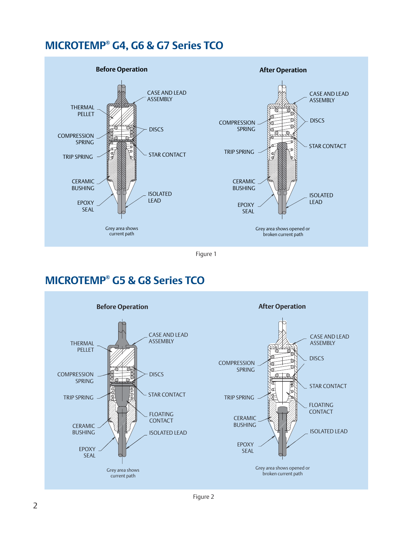# **MICROTEMP® G4, G6 & G7 Series TCO**



Figure 1

# **MICROTEMP® G5 & G8 Series TCO**

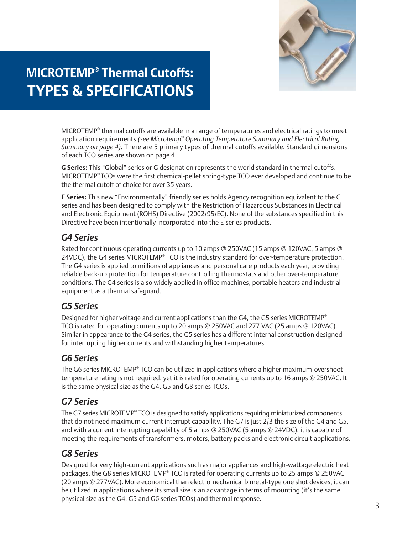

# **MICROTEMP® Thermal Cutoffs: TYPES & SPECIFICATIONS**

MICROTEMP® thermal cutoffs are available in a range of temperatures and electrical ratings to meet application requirements *(see Microtemp® Operating Temperature Summary and Electrical Rating Summary on page 4)*. There are 5 primary types of thermal cutoffs available. Standard dimensions of each TCO series are shown on page 4.

**G Series:** This "Global" series or G designation represents the world standard in thermal cutoffs. MICROTEMP® TCOs were the first chemical-pellet spring-type TCO ever developed and continue to be the thermal cutoff of choice for over 35 years.

**E Series:** This new "Environmentally" friendly series holds Agency recognition equivalent to the G series and has been designed to comply with the Restriction of Hazardous Substances in Electrical and Electronic Equipment (ROHS) Directive (2002/95/EC). None of the substances specified in this Directive have been intentionally incorporated into the E-series products.

### *G4 Series*

Rated for continuous operating currents up to 10 amps @ 250VAC (15 amps @ 120VAC, 5 amps @ 24VDC), the G4 series MICROTEMP® TCO is the industry standard for over-temperature protection. The G4 series is applied to millions of appliances and personal care products each year, providing reliable back-up protection for temperature controlling thermostats and other over-temperature conditions. The G4 series is also widely applied in office machines, portable heaters and industrial equipment as a thermal safeguard.

# *G5 Series*

Designed for higher voltage and current applications than the G4, the G5 series MICROTEMP<sup>®</sup> TCO is rated for operating currents up to 20 amps @ 250VAC and 277 VAC (25 amps @ 120VAC). Similar in appearance to the G4 series, the G5 series has a different internal construction designed for interrupting higher currents and withstanding higher temperatures.

# *G6 Series*

The G6 series MICROTEMP® TCO can be utilized in applications where a higher maximum-overshoot temperature rating is not required, yet it is rated for operating currents up to 16 amps @ 250VAC. It is the same physical size as the G4, G5 and G8 series TCOs.

### *G7 Series*

The G7 series MICROTEMP® TCO is designed to satisfy applications requiring miniaturized components that do not need maximum current interrupt capability. The G7 is just 2/3 the size of the G4 and G5, and with a current interrupting capability of 5 amps @ 250VAC (5 amps @ 24VDC), it is capable of meeting the requirements of transformers, motors, battery packs and electronic circuit applications.

# *G8 Series*

Designed for very high-current applications such as major appliances and high-wattage electric heat packages, the G8 series MICROTEMP® TCO is rated for operating currents up to 25 amps @ 250VAC (20 amps @ 277VAC). More economical than electromechanical bimetal-type one shot devices, it can be utilized in applications where its small size is an advantage in terms of mounting (it's the same physical size as the G4, G5 and G6 series TCOs) and thermal response.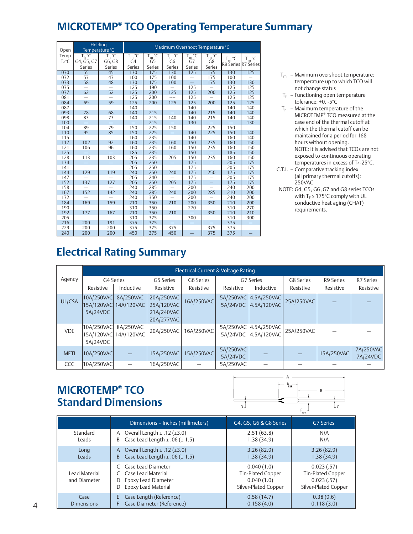# **MICROTEMP® TCO Operating Temperature Summary**

| Open       | Holding<br>Temperature °C |                          | Maximum Overshoot Temperature °C |                |                   |                          |                   |            |                     |
|------------|---------------------------|--------------------------|----------------------------------|----------------|-------------------|--------------------------|-------------------|------------|---------------------|
| Temp       | $T_h$ °C                  | T <sub>h</sub> °C        | $T_m$ °C                         | $T_m$ °C       | T <sub>m</sub> °C | $T_m$ °C                 | T <sub>m</sub> °C |            |                     |
| $T_f$ °C   | G4, G5, G7                | G6, G8                   | G4                               | G <sub>5</sub> | G <sub>6</sub>    | G7                       | G8                | $T_m$ °C   | $T_m$ °C            |
|            | Series                    | Series                   | Series                           | Series         | Series            | Series                   | Series            |            | R9 Series R7 Series |
| 070        | 55                        | 45                       | 130                              | 175            | 130               | 125                      | 175               | 130        | 125                 |
| 072        | 57                        | 47                       | 100                              | 175            | 100               |                          | 175               | 100        |                     |
| 073        | 58                        | 48                       | 130                              | 175            | 100               |                          | 175               | 130        | 130                 |
| 075        |                           |                          | 125                              | 190            |                   | 125                      |                   | 125        | 125                 |
| 077        | 62                        | 52                       | 125                              | 200            | 125               | 125                      | 200               | 125        | 125                 |
| 081        |                           |                          | 125                              | 200            |                   | 125                      |                   | 125        | 125                 |
| 084        | 69                        | 59                       | 125                              | 200            | 125               | 125                      | 200               | 125        | 125                 |
| 087        |                           |                          | 140                              |                |                   | 140                      |                   | 140        | 140                 |
| 093        | 78                        | 68                       | 140                              | 215            |                   | 140                      | 215               | 140        | 140                 |
| 098        | 83                        | 73                       | 140                              | 215            | 140               | 140                      | 215               | 140        | 140                 |
| 100        |                           | $\overline{\phantom{0}}$ |                                  | 215            |                   | 130                      |                   |            | 130                 |
| 104        | 89                        | 79                       | 150                              | 225            | 150               |                          | 225               | 150        |                     |
| 110        | 95                        | 85                       | 150                              | 225            |                   | 140                      | 225               | 150        | 140                 |
| 115        |                           | -                        | 160                              | 235            |                   | 140                      |                   | 160        | 140                 |
| 117        | 102                       | 92                       | 160                              | 235            | 160               | 150                      | 235               | 160        | 150                 |
| 121        | 106                       | 96                       | 160                              | 235            | 160               | 150                      | 235               | 160        | 150                 |
| 125        |                           |                          | 185                              | 235            |                   | 150                      |                   | 185        | 150                 |
| 128        | 113                       | 103                      | 205                              | 235            | 205               | 150                      | 235               | 160        | 150                 |
| 134        |                           |                          | 205                              | 250            |                   | 175                      |                   | 205        | 175                 |
| 141        |                           |                          | 205                              | 250            |                   | 175                      |                   | 205        | 175                 |
| 144        | 129                       | 119                      | 240                              | 250            | 240               | 175                      | 250               | 175        | 175                 |
| 147        | 137                       | 127                      | 205                              | 240            | 205               | 175<br>175               | $\equiv$          | 205        | 175                 |
| 152<br>158 |                           |                          | 205<br>240                       | 250<br>285     |                   | 200                      |                   | 175<br>240 | 175<br>200          |
| 167        | 152                       | 142                      | 240                              | 285            | 240               | 200                      | 285               | 210        | 200                 |
| 172        |                           |                          | 240                              | 350            |                   | 200                      |                   | 240        | 200                 |
| 184        | 169                       | 159                      | 210                              | 350            | 210               | 200                      | 350               | 210        | 200                 |
| 190        |                           |                          | 310                              | 350            |                   | 270                      |                   | 310        | 270                 |
| 192        | 177                       | 167                      | 210                              | 350            | 210               |                          | 350               | 210        | 210                 |
| 205        |                           |                          | 310                              | 375            |                   | 300                      |                   | 310        | 300                 |
| 216        | 200                       | 191                      | 375                              | 375            |                   | -                        |                   | 375        |                     |
| 229        | 200                       | 200                      | 375                              | 375            | 375               | $\overline{\phantom{0}}$ | 375               | 375        |                     |
| 240        | 200                       | 200                      | 450                              | 375            | 450               | $\equiv$                 | 375               | 375        | L,                  |

- $T_m$  Maximum overshoot temperature: temperature up to which TCO will not change status
- $T_f$  Functioning open temperature tolerance: +0, -5°C
- $T_h$  Maximum temperature of the MICROTEMP® TCO measured at the case end of the thermal cutoff at which the thermal cutoff can be maintained for a period for 168 hours without opening. NOTE: it is advised that TCOs are not exposed to continuous operating temperatures in excess of T $_{\rm f}$  -25°C.
- C.T.I. Comparative tracking index (all primary thermal cutoffs): 250VAC
- NOTE: G4, G5, G6 ,G7 and G8 series TCOs with  $T_F \geq 175^{\circ}$ C comply with UL conductive heat aging (CHAT) requirements.

# **Electrical Rating Summary**

|             | Electrical Current & Voltage Rating  |                                                  |                                        |            |                       |                                               |            |            |                       |
|-------------|--------------------------------------|--------------------------------------------------|----------------------------------------|------------|-----------------------|-----------------------------------------------|------------|------------|-----------------------|
| Agency      |                                      | G4 Series<br>G5 Series<br>G6 Series<br>G7 Series |                                        |            | G8 Series             | R9 Series                                     | R7 Series  |            |                       |
|             | Resistive                            | Inductive                                        | Resistive                              | Resistive  | Resistive             | Inductive                                     | Resistive  | Resistive  | Resistive             |
| UL/CSA      | 10A/250VAC<br>15A/120VAC<br>5A/24VDC | 8A/250VAC<br>14A/120VAC                          | 20A/250VAC<br>25A/120VAC<br>21A/240VAC | 16A/250VAC |                       | 5A/250VAC 4.5A/250VAC<br>5A/24VDC 4.5A/120VAC | 25A/250VAC |            |                       |
|             |                                      |                                                  | 20A/277VAC                             |            |                       |                                               |            |            |                       |
| <b>VDE</b>  | 10A/250VAC<br>15A/120VAC<br>5A/24VDC | 8A/250VAC<br>14A/120VAC                          | 20A/250VAC                             | 16A/250VAC |                       | 5A/250VAC 4.5A/250VAC<br>5A/24VDC 4.5A/120VAC | 25A/250VAC |            |                       |
| <b>METI</b> | 10A/250VAC                           |                                                  | 15A/250VAC                             | 15A/250VAC | 5A/250VAC<br>5A/24VDC |                                               |            | 15A/250VAC | 7A/250VAC<br>7A/24VDC |
| <b>CCC</b>  | 10A/250VAC                           |                                                  | 16A/250VAC                             |            | 5A/250VAC             |                                               |            |            |                       |

# **MICROTEMP® TCO Standard Dimensions**



|                               | Dimensions - Inches (millimeters)                                                                    | G4, G5, G6 & G8 Series                                                | G7 Series                                                             |
|-------------------------------|------------------------------------------------------------------------------------------------------|-----------------------------------------------------------------------|-----------------------------------------------------------------------|
| Standard<br>Leads             | A Overall Length $\pm$ .12 ( $\pm$ 3.0)<br>Case Lead Length $\pm$ .06 ( $\pm$ 1.5)<br>B              | 2.51(63.8)<br>1.38(34.9)                                              | N/A<br>N/A                                                            |
| Long<br>Leads                 | A Overall Length $\pm$ .12 ( $\pm$ 3.0)<br>Case Lead Length $\pm$ .06 ( $\pm$ 1.5)<br>B.             | 3.26(82.9)<br>1.38(34.9)                                              | 3.26(82.9)<br>1.38(34.9)                                              |
| Lead Material<br>and Diameter | C Case Lead Diameter<br>C Case Lead Material<br>Epoxy Lead Diameter<br>D<br>Epoxy Lead Material<br>D | 0.040(1.0)<br>Tin-Plated Copper<br>0.040(1.0)<br>Silver-Plated Copper | 0.023(.57)<br>Tin-Plated Copper<br>0.023(.57)<br>Silver-Plated Copper |
| Case<br><b>Dimensions</b>     | Case Length (Reference)<br>E.<br>Case Diameter (Reference)<br>F                                      | 0.58(14.7)<br>0.158(4.0)                                              | 0.38(9.6)<br>0.118(3.0)                                               |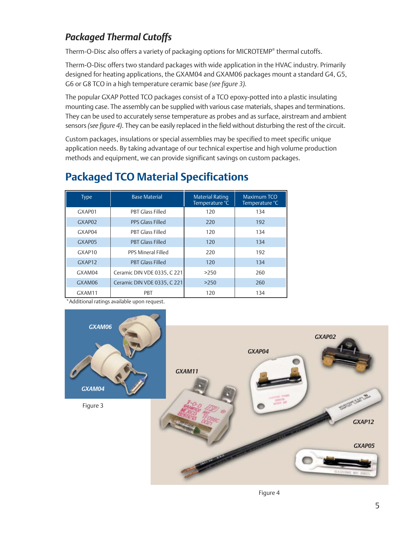# *Packaged Thermal Cutoffs*

Therm-O-Disc also offers a variety of packaging options for MICROTEMP® thermal cutoffs.

Therm-O-Disc offers two standard packages with wide application in the HVAC industry. Primarily designed for heating applications, the GXAM04 and GXAM06 packages mount a standard G4, G5, G6 or G8 TCO in a high temperature ceramic base *(see figure 3).*

The popular GXAP Potted TCO packages consist of a TCO epoxy-potted into a plastic insulating mounting case. The assembly can be supplied with various case materials, shapes and terminations. They can be used to accurately sense temperature as probes and as surface, airstream and ambient sensors *(see figure 4)*. They can be easily replaced in the field without disturbing the rest of the circuit.

Custom packages, insulations or special assemblies may be specified to meet specific unique application needs. By taking advantage of our technical expertise and high volume production methods and equipment, we can provide significant savings on custom packages.

#### Type Base Material Material Material Material Rating Maximum TCO<br>Temperature °C Temperature °C Temperature °C GXAP01 | PBT Glass Filled | 120 | 134 GXAP02 PPS Glass Filled 192 GXAP04 PBT Glass Filled 120 134 GXAP05 PBT Glass Filled 120 134 GXAP10 PPS Mineral Filled 220 192 GXAP12 PBT Glass Filled 120 134 GXAM04 Ceramic DIN VDE 0335, C 221 >250 260 GXAM06  $\left|$  Ceramic DIN VDE 0335, C 221  $\right|$  >250  $\left|$  260 GXAM11 | PBT | 120 | 134

# **Packaged TCO Material Specifications**

Additional ratings available upon request.

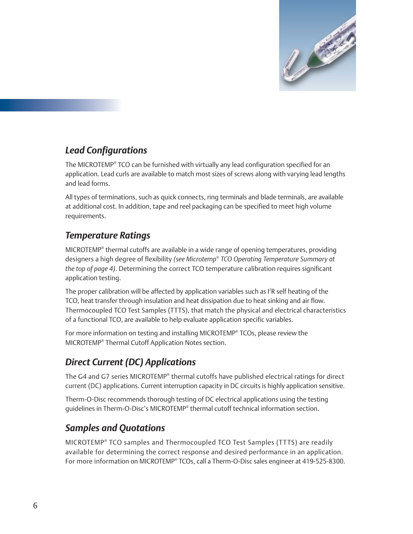

# *Lead Configurations*

The MICROTEMP® TCO can be furnished with virtually any lead configuration specified for an application. Lead curls are available to match most sizes of screws along with varying lead lengths and lead forms.

All types of terminations, such as quick connects, ring terminals and blade terminals, are available at additional cost. In addition, tape and reel packaging can be specified to meet high volume requirements.

### *Temperature Ratings*

MICROTEMP® thermal cutoffs are available in a wide range of opening temperatures, providing designers a high degree of flexibility *(see Microtemp® TCO Operating Temperature Summary at the top of page 4)*. Determining the correct TCO temperature calibration requires significant application testing.

The proper calibration will be affected by application variables such as I<sup>2</sup>R self heating of the TCO, heat transfer through insulation and heat dissipation due to heat sinking and air flow. Thermocoupled TCO Test Samples (TTTS), that match the physical and electrical characteristics of a functional TCO, are available to help evaluate application specific variables.

For more information on testing and installing MICROTEMP® TCOs, please review the MICROTEMP® Thermal Cutoff Application Notes section.

### *Direct Current (DC) Applications*

The G4 and G7 series MICROTEMP® thermal cutoffs have published electrical ratings for direct current (DC) applications. Current interruption capacity in DC circuits is highly application sensitive.

Therm-O-Disc recommends thorough testing of DC electrical applications using the testing guidelines in Therm-O-Disc's MICROTEMP® thermal cutoff technical information section.

### *Samples and Quotations*

MICROTEMP® TCO samples and Thermocoupled TCO Test Samples (TTTS) are readily available for determining the correct response and desired performance in an application. For more information on MICROTEMP® TCOs, call a Therm-O-Disc sales engineer at 419-525-8300.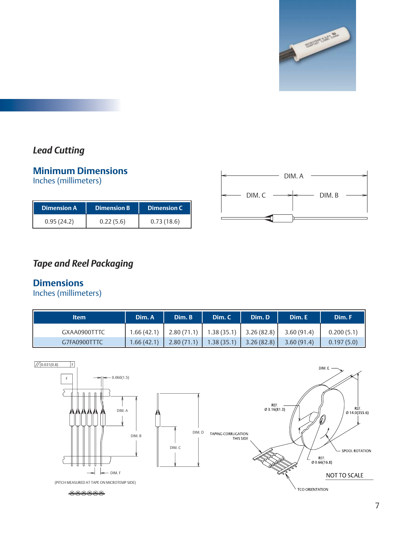

# *Lead Cutting*

#### **Minimum Dimensions** Inches (millimeters)

| <b>Dimension A</b> | <b>Dimension B.</b> | <b>Dimension C</b> |
|--------------------|---------------------|--------------------|
| 0.95(24.2)         | 0.22(5.6)           | 0.73(18.6)         |



# *Tape and Reel Packaging*

#### **Dimensions**

Inches (millimeters)

| <b>Item</b>  | Dim. A     | Dim. B     | Dim. C                                                           | Dim. D | Dim. E     | Dim. F     |
|--------------|------------|------------|------------------------------------------------------------------|--------|------------|------------|
| GXAA0900TTTC |            |            | $1.66(42.1)$   2.80(71.1)   1.38(35.1)   3.26(82.8)   3.60(91.4) |        |            | 0.200(5.1) |
| G7FA0900TTTC | 1.66(42.1) | 2.80(71.1) | $1.38(35.1)$ 3.26 (82.8)                                         |        | 3.60(91.4) | 0.197(5.0) |

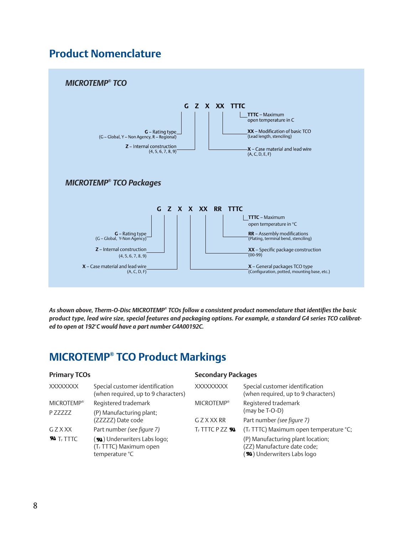# **Product Nomenclature**



*As shown above, Therm-O-Disc MICROTEMP® TCOs follow a consistent product nomenclature that identifies the basic product type, lead wire size, special features and packaging options. For example, a standard G4 series TCO calibrated to open at 192°C would have a part number G4A00192C.*

# **MICROTEMP® TCO Product Markings**

| <b>Primary TCOs</b>              |                                                                                      | <b>Secondary Packages</b>      |                                                                                                |  |  |
|----------------------------------|--------------------------------------------------------------------------------------|--------------------------------|------------------------------------------------------------------------------------------------|--|--|
| <b>XXXXXXXX</b>                  | Special customer identification<br>(when required, up to 9 characters)               | <b>XXXXXXXXX</b>               | Special customer identification<br>(when required, up to 9 characters)                         |  |  |
| <b>MICROTEMP®</b>                | Registered trademark                                                                 | <b>MICROTEMP®</b>              | Registered trademark                                                                           |  |  |
| P ZZZZZ                          | (P) Manufacturing plant;                                                             |                                | (may be T-O-D)                                                                                 |  |  |
|                                  | (ZZZZZ) Date code                                                                    | <b>GZXXXRR</b>                 | Part number (see figure 7)                                                                     |  |  |
| GZXXX                            | Part number (see figure 7)                                                           | <b>T<sub>E</sub>TTTCPZZSNA</b> | (T <sub>F</sub> TTTC) Maximum open temperature °C;                                             |  |  |
| $\mathbf{R}$ T <sub>E</sub> TTTC | (Su) Underwriters Labs logo;<br>(T <sub>F</sub> TTTC) Maximum open<br>temperature °C |                                | (P) Manufacturing plant location;<br>(ZZ) Manufacture date code;<br>(W) Underwriters Labs logo |  |  |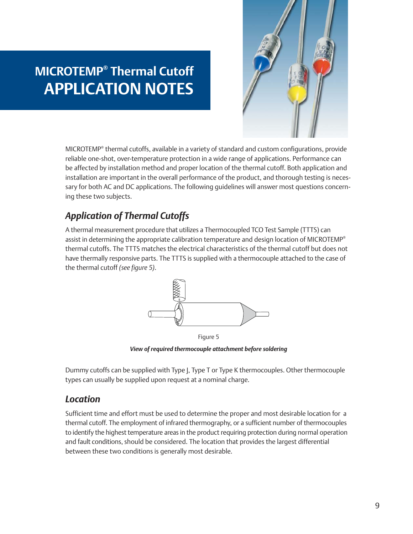# **MICROTEMP® Thermal Cutoff APPLICATION NOTES**



MICROTEMP® thermal cutoffs, available in a variety of standard and custom configurations, provide reliable one-shot, over-temperature protection in a wide range of applications. Performance can be affected by installation method and proper location of the thermal cutoff. Both application and installation are important in the overall performance of the product, and thorough testing is necessary for both AC and DC applications. The following guidelines will answer most questions concerning these two subjects.

# *Application of Thermal Cutoffs*

A thermal measurement procedure that utilizes a Thermocoupled TCO Test Sample (TTTS) can assist in determining the appropriate calibration temperature and design location of MICROTEMP® thermal cutoffs. The TTTS matches the electrical characteristics of the thermal cutoff but does not have thermally responsive parts. The TTTS is supplied with a thermocouple attached to the case of the thermal cutoff *(see figure 5)*.



Figure 5 *View of required thermocouple attachment before soldering*

Dummy cutoffs can be supplied with Type J, Type T or Type K thermocouples. Other thermocouple types can usually be supplied upon request at a nominal charge.

### *Location*

Sufficient time and effort must be used to determine the proper and most desirable location for a thermal cutoff. The employment of infrared thermography, or a sufficient number of thermocouples to identify the highest temperature areas in the product requiring protection during normal operation and fault conditions, should be considered. The location that provides the largest differential between these two conditions is generally most desirable.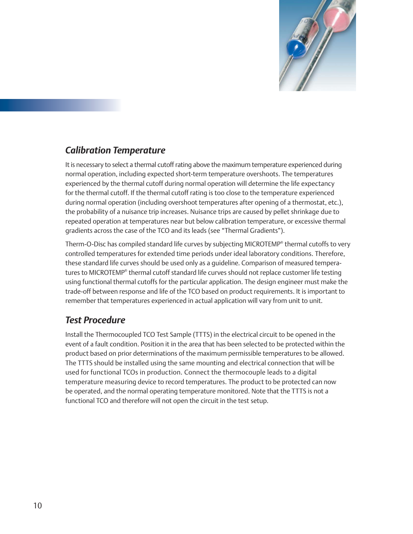

### *Calibration Temperature*

It is necessary to select a thermal cutoff rating above the maximum temperature experienced during normal operation, including expected short-term temperature overshoots. The temperatures experienced by the thermal cutoff during normal operation will determine the life expectancy for the thermal cutoff. If the thermal cutoff rating is too close to the temperature experienced during normal operation (including overshoot temperatures after opening of a thermostat, etc.), the probability of a nuisance trip increases. Nuisance trips are caused by pellet shrinkage due to repeated operation at temperatures near but below calibration temperature, or excessive thermal gradients across the case of the TCO and its leads (see "Thermal Gradients").

Therm-O-Disc has compiled standard life curves by subjecting MICROTEMP® thermal cutoffs to very controlled temperatures for extended time periods under ideal laboratory conditions. Therefore, these standard life curves should be used only as a guideline. Comparison of measured temperatures to MICROTEMP® thermal cutoff standard life curves should not replace customer life testing using functional thermal cutoffs for the particular application. The design engineer must make the trade-off between response and life of the TCO based on product requirements. It is important to remember that temperatures experienced in actual application will vary from unit to unit.

# *Test Procedure*

Install the Thermocoupled TCO Test Sample (TTTS) in the electrical circuit to be opened in the event of a fault condition. Position it in the area that has been selected to be protected within the product based on prior determinations of the maximum permissible temperatures to be allowed. The TTTS should be installed using the same mounting and electrical connection that will be used for functional TCOs in production. Connect the thermocouple leads to a digital temperature measuring device to record temperatures. The product to be protected can now be operated, and the normal operating temperature monitored. Note that the TTTS is not a functional TCO and therefore will not open the circuit in the test setup.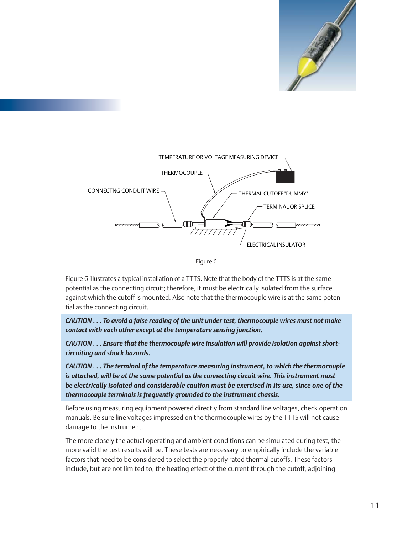





Figure 6 illustrates a typical installation of a TTTS. Note that the body of the TTTS is at the same potential as the connecting circuit; therefore, it must be electrically isolated from the surface against which the cutoff is mounted. Also note that the thermocouple wire is at the same potential as the connecting circuit.

*CAUTION . . . To avoid a false reading of the unit under test, thermocouple wires must not make contact with each other except at the temperature sensing junction.*

*CAUTION . . . Ensure that the thermocouple wire insulation will provide isolation against shortcircuiting and shock hazards.*

*CAUTION . . . The terminal of the temperature measuring instrument, to which the thermocouple is attached, will be at the same potential as the connecting circuit wire. This instrument must be electrically isolated and considerable caution must be exercised in its use, since one of the thermocouple terminals is frequently grounded to the instrument chassis.*

Before using measuring equipment powered directly from standard line voltages, check operation manuals. Be sure line voltages impressed on the thermocouple wires by the TTTS will not cause damage to the instrument.

The more closely the actual operating and ambient conditions can be simulated during test, the more valid the test results will be. These tests are necessary to empirically include the variable factors that need to be considered to select the properly rated thermal cutoffs. These factors include, but are not limited to, the heating effect of the current through the cutoff, adjoining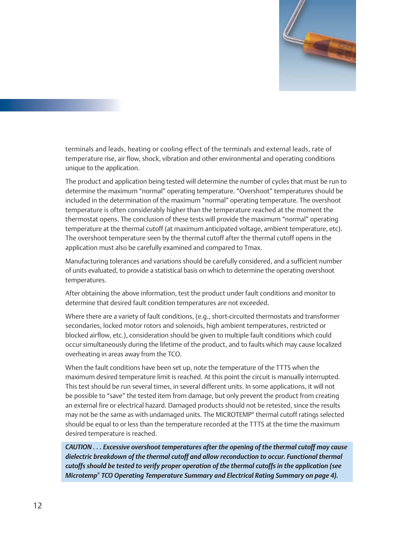

terminals and leads, heating or cooling effect of the terminals and external leads, rate of temperature rise, air flow, shock, vibration and other environmental and operating conditions unique to the application.

The product and application being tested will determine the number of cycles that must be run to determine the maximum "normal" operating temperature. "Overshoot" temperatures should be included in the determination of the maximum "normal" operating temperature. The overshoot temperature is often considerably higher than the temperature reached at the moment the thermostat opens. The conclusion of these tests will provide the maximum "normal" operating temperature at the thermal cutoff (at maximum anticipated voltage, ambient temperature, etc). The overshoot temperature seen by the thermal cutoff after the thermal cutoff opens in the application must also be carefully examined and compared to Tmax.

Manufacturing tolerances and variations should be carefully considered, and a sufficient number of units evaluated, to provide a statistical basis on which to determine the operating overshoot temperatures.

After obtaining the above information, test the product under fault conditions and monitor to determine that desired fault condition temperatures are not exceeded.

Where there are a variety of fault conditions, (e.g., short-circuited thermostats and transformer secondaries, locked motor rotors and solenoids, high ambient temperatures, restricted or blocked airflow, etc.), consideration should be given to multiple fault conditions which could occur simultaneously during the lifetime of the product, and to faults which may cause localized overheating in areas away from the TCO.

When the fault conditions have been set up, note the temperature of the TTTS when the maximum desired temperature limit is reached. At this point the circuit is manually interrupted. This test should be run several times, in several different units. In some applications, it will not be possible to "save" the tested item from damage, but only prevent the product from creating an external fire or electrical hazard. Damaged products should not be retested, since the results may not be the same as with undamaged units. The MICROTEMP® thermal cutoff ratings selected should be equal to or less than the temperature recorded at the TTTS at the time the maximum desired temperature is reached.

*CAUTION . . . Excessive overshoot temperatures after the opening of the thermal cutoff may cause dielectric breakdown of the thermal cutoff and allow reconduction to occur. Functional thermal cutoffs should be tested to verify proper operation of the thermal cutoffs in the application (see Microtemp® TCO Operating Temperature Summary and Electrical Rating Summary on page 4).*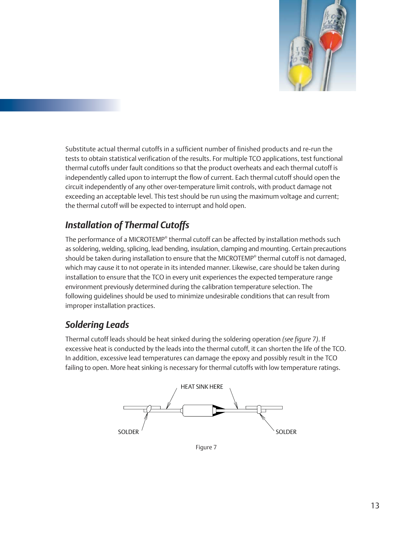

Substitute actual thermal cutoffs in a sufficient number of finished products and re-run the tests to obtain statistical verification of the results. For multiple TCO applications, test functional thermal cutoffs under fault conditions so that the product overheats and each thermal cutoff is independently called upon to interrupt the flow of current. Each thermal cutoff should open the circuit independently of any other over-temperature limit controls, with product damage not exceeding an acceptable level. This test should be run using the maximum voltage and current; the thermal cutoff will be expected to interrupt and hold open.

# *Installation of Thermal Cutoffs*

The performance of a MICROTEMP® thermal cutoff can be affected by installation methods such as soldering, welding, splicing, lead bending, insulation, clamping and mounting. Certain precautions should be taken during installation to ensure that the MICROTEMP® thermal cutoff is not damaged, which may cause it to not operate in its intended manner. Likewise, care should be taken during installation to ensure that the TCO in every unit experiences the expected temperature range environment previously determined during the calibration temperature selection. The following guidelines should be used to minimize undesirable conditions that can result from improper installation practices.

# *Soldering Leads*

Thermal cutoff leads should be heat sinked during the soldering operation *(see figure 7)*. If excessive heat is conducted by the leads into the thermal cutoff, it can shorten the life of the TCO. In addition, excessive lead temperatures can damage the epoxy and possibly result in the TCO failing to open. More heat sinking is necessary for thermal cutoffs with low temperature ratings.



Figure 7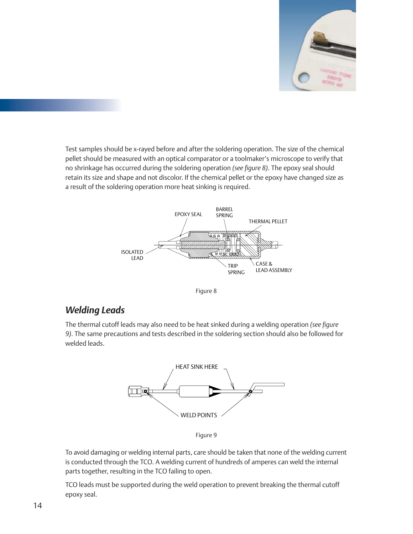

Test samples should be x-rayed before and after the soldering operation. The size of the chemical pellet should be measured with an optical comparator or a toolmaker's microscope to verify that no shrinkage has occurred during the soldering operation *(see figure 8)*. The epoxy seal should retain its size and shape and not discolor. If the chemical pellet or the epoxy have changed size as a result of the soldering operation more heat sinking is required.





#### *Welding Leads*

The thermal cutoff leads may also need to be heat sinked during a welding operation *(see figure 9)*. The same precautions and tests described in the soldering section should also be followed for welded leads.





To avoid damaging or welding internal parts, care should be taken that none of the welding current is conducted through the TCO. A welding current of hundreds of amperes can weld the internal parts together, resulting in the TCO failing to open.

TCO leads must be supported during the weld operation to prevent breaking the thermal cutoff epoxy seal.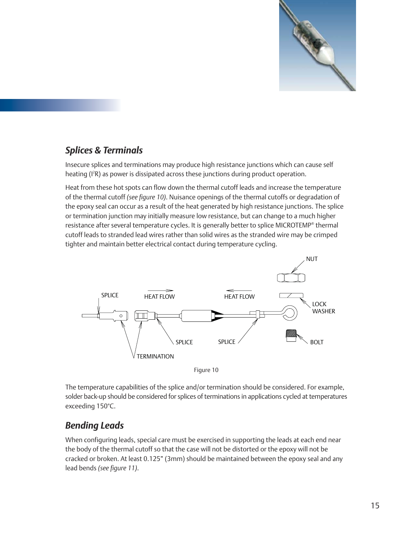

### *Splices & Terminals*

Insecure splices and terminations may produce high resistance junctions which can cause self heating (I<sup>2</sup>R) as power is dissipated across these junctions during product operation.

Heat from these hot spots can flow down the thermal cutoff leads and increase the temperature of the thermal cutoff *(see figure 10)*. Nuisance openings of the thermal cutoffs or degradation of the epoxy seal can occur as a result of the heat generated by high resistance junctions. The splice or termination junction may initially measure low resistance, but can change to a much higher resistance after several temperature cycles. It is generally better to splice MICROTEMP® thermal cutoff leads to stranded lead wires rather than solid wires as the stranded wire may be crimped tighter and maintain better electrical contact during temperature cycling.





The temperature capabilities of the splice and/or termination should be considered. For example, solder back-up should be considered for splices of terminations in applications cycled at temperatures exceeding 150°C.

### *Bending Leads*

When configuring leads, special care must be exercised in supporting the leads at each end near the body of the thermal cutoff so that the case will not be distorted or the epoxy will not be cracked or broken. At least 0.125" (3mm) should be maintained between the epoxy seal and any lead bends *(see figure 11)*.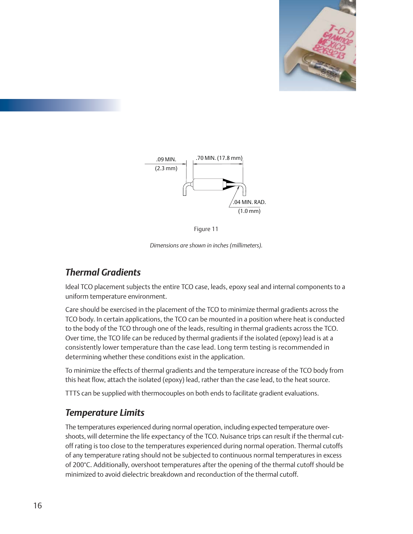



Figure 11

*Dimensions are shown in inches (millimeters).*

# *Thermal Gradients*

Ideal TCO placement subjects the entire TCO case, leads, epoxy seal and internal components to a uniform temperature environment.

Care should be exercised in the placement of the TCO to minimize thermal gradients across the TCO body. In certain applications, the TCO can be mounted in a position where heat is conducted to the body of the TCO through one of the leads, resulting in thermal gradients across the TCO. Over time, the TCO life can be reduced by thermal gradients if the isolated (epoxy) lead is at a consistently lower temperature than the case lead. Long term testing is recommended in determining whether these conditions exist in the application.

To minimize the effects of thermal gradients and the temperature increase of the TCO body from this heat flow, attach the isolated (epoxy) lead, rather than the case lead, to the heat source.

TTTS can be supplied with thermocouples on both ends to facilitate gradient evaluations.

#### *Temperature Limits*

The temperatures experienced during normal operation, including expected temperature overshoots, will determine the life expectancy of the TCO. Nuisance trips can result if the thermal cutoff rating is too close to the temperatures experienced during normal operation. Thermal cutoffs of any temperature rating should not be subjected to continuous normal temperatures in excess of 200°C. Additionally, overshoot temperatures after the opening of the thermal cutoff should be minimized to avoid dielectric breakdown and reconduction of the thermal cutoff.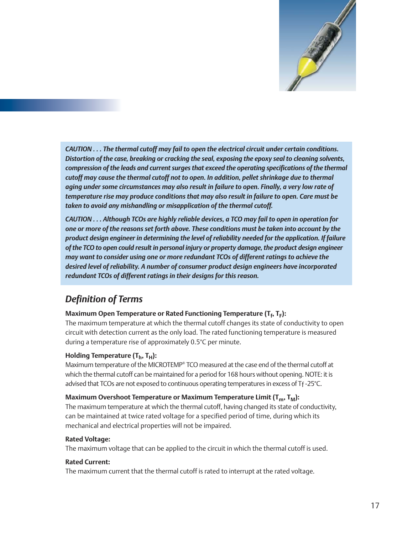

*CAUTION . . . The thermal cutoff may fail to open the electrical circuit under certain conditions. Distortion of the case, breaking or cracking the seal, exposing the epoxy seal to cleaning solvents, compression of the leads and current surges that exceed the operating specifications of the thermal cutoff may cause the thermal cutoff not to open. In addition, pellet shrinkage due to thermal aging under some circumstances may also result in failure to open. Finally, a very low rate of temperature rise may produce conditions that may also result in failure to open. Care must be taken to avoid any mishandling or misapplication of the thermal cutoff.*

*CAUTION . . . Although TCOs are highly reliable devices, a TCO may fail to open in operation for one or more of the reasons set forth above. These conditions must be taken into account by the product design engineer in determining the level of reliability needed for the application. If failure of the TCO to open could result in personal injury or property damage, the product design engineer may want to consider using one or more redundant TCOs of different ratings to achieve the desired level of reliability. A number of consumer product design engineers have incorporated redundant TCOs of different ratings in their designs for this reason.*

### *Definition of Terms*

#### **Maximum Open Temperature or Rated Functioning Temperature (T<sup>f</sup> , T<sup>F</sup> ):**

The maximum temperature at which the thermal cutoff changes its state of conductivity to open circuit with detection current as the only load. The rated functioning temperature is measured during a temperature rise of approximately 0.5°C per minute.

#### **Holding Temperature (T<sup>h</sup> , TH):**

Maximum temperature of the MICROTEMP® TCO measured at the case end of the thermal cutoff at which the thermal cutoff can be maintained for a period for 168 hours without opening. NOTE: it is advised that TCOs are not exposed to continuous operating temperatures in excess of Tf -25°C.

#### **Maximum Overshoot Temperature or Maximum Temperature Limit (Tm, TM):**

The maximum temperature at which the thermal cutoff, having changed its state of conductivity, can be maintained at twice rated voltage for a specified period of time, during which its mechanical and electrical properties will not be impaired.

#### **Rated Voltage:**

The maximum voltage that can be applied to the circuit in which the thermal cutoff is used.

#### **Rated Current:**

The maximum current that the thermal cutoff is rated to interrupt at the rated voltage.